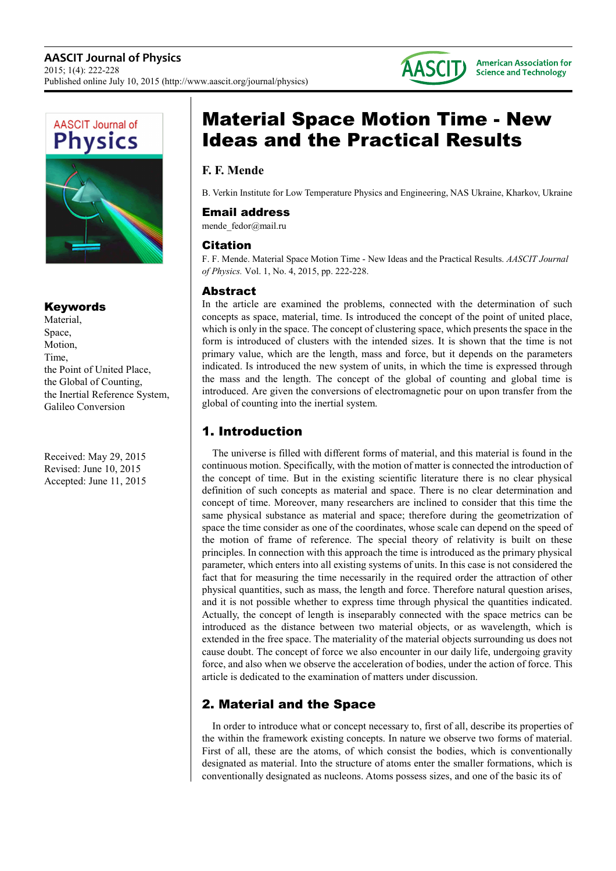



## Keywords

Material, Space, Motion, Time, the Point of United Place, the Global of Counting, the Inertial Reference System, Galileo Conversion

Received: May 29, 2015 Revised: June 10, 2015 Accepted: June 11, 2015

# Material Space Motion Time - New Ideas and the Practical Results

# **F. F. Mende**

B. Verkin Institute for Low Temperature Physics and Engineering, NAS Ukraine, Kharkov, Ukraine

### Email address

mende\_fedor@mail.ru

## Citation

F. F. Mende. Material Space Motion Time - New Ideas and the Practical Results. *AASCIT Journal of Physics.* Vol. 1, No. 4, 2015, pp. 222-228.

## **Abstract**

In the article are examined the problems, connected with the determination of such concepts as space, material, time. Is introduced the concept of the point of united place, which is only in the space. The concept of clustering space, which presents the space in the form is introduced of clusters with the intended sizes. It is shown that the time is not primary value, which are the length, mass and force, but it depends on the parameters indicated. Is introduced the new system of units, in which the time is expressed through the mass and the length. The concept of the global of counting and global time is introduced. Are given the conversions of electromagnetic pour on upon transfer from the global of counting into the inertial system.

# 1. Introduction

The universe is filled with different forms of material, and this material is found in the continuous motion. Specifically, with the motion of matter is connected the introduction of the concept of time. But in the existing scientific literature there is no clear physical definition of such concepts as material and space. There is no clear determination and concept of time. Moreover, many researchers are inclined to consider that this time the same physical substance as material and space; therefore during the geometrization of space the time consider as one of the coordinates, whose scale can depend on the speed of the motion of frame of reference. The special theory of relativity is built on these principles. In connection with this approach the time is introduced as the primary physical parameter, which enters into all existing systems of units. In this case is not considered the fact that for measuring the time necessarily in the required order the attraction of other physical quantities, such as mass, the length and force. Therefore natural question arises, and it is not possible whether to express time through physical the quantities indicated. Actually, the concept of length is inseparably connected with the space metrics can be introduced as the distance between two material objects, or as wavelength, which is extended in the free space. The materiality of the material objects surrounding us does not cause doubt. The concept of force we also encounter in our daily life, undergoing gravity force, and also when we observe the acceleration of bodies, under the action of force. This article is dedicated to the examination of matters under discussion.

# 2. Material and the Space

In order to introduce what or concept necessary to, first of all, describe its properties of the within the framework existing concepts. In nature we observe two forms of material. First of all, these are the atoms, of which consist the bodies, which is conventionally designated as material. Into the structure of atoms enter the smaller formations, which is conventionally designated as nucleons. Atoms possess sizes, and one of the basic its of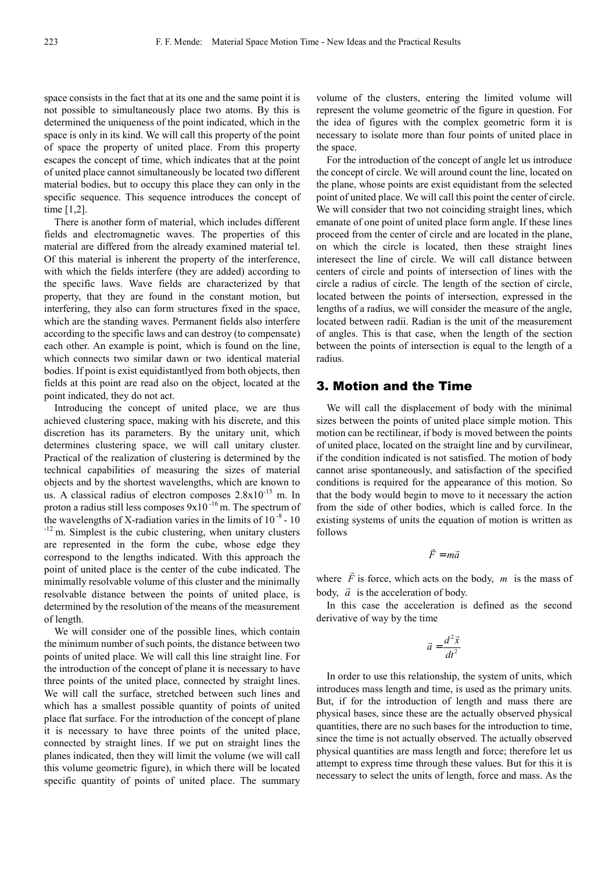space consists in the fact that at its one and the same point it is not possible to simultaneously place two atoms. By this is determined the uniqueness of the point indicated, which in the space is only in its kind. We will call this property of the point of space the property of united place. From this property escapes the concept of time, which indicates that at the point of united place cannot simultaneously be located two different material bodies, but to occupy this place they can only in the specific sequence. This sequence introduces the concept of time [1,2].

There is another form of material, which includes different fields and electromagnetic waves. The properties of this material are differed from the already examined material tel. Of this material is inherent the property of the interference, with which the fields interfere (they are added) according to the specific laws. Wave fields are characterized by that property, that they are found in the constant motion, but interfering, they also can form structures fixed in the space, which are the standing waves. Permanent fields also interfere according to the specific laws and can destroy (to compensate) each other. An example is point, which is found on the line, which connects two similar dawn or two identical material bodies. If point is exist equidistantlyed from both objects, then fields at this point are read also on the object, located at the point indicated, they do not act.

Introducing the concept of united place, we are thus achieved clustering space, making with his discrete, and this discretion has its parameters. By the unitary unit, which determines clustering space, we will call unitary cluster. Practical of the realization of clustering is determined by the technical capabilities of measuring the sizes of material objects and by the shortest wavelengths, which are known to us. A classical radius of electron composes 2.8x10-15 m. In proton a radius still less composes  $9x10^{-16}$  m. The spectrum of the wavelengths of X-radiation varies in the limits of  $10^{-8}$  - 10 <sup>-12</sup> m. Simplest is the cubic clustering, when unitary clusters are represented in the form the cube, whose edge they correspond to the lengths indicated. With this approach the point of united place is the center of the cube indicated. The minimally resolvable volume of this cluster and the minimally resolvable distance between the points of united place, is determined by the resolution of the means of the measurement of length.

We will consider one of the possible lines, which contain the minimum number of such points, the distance between two points of united place. We will call this line straight line. For the introduction of the concept of plane it is necessary to have three points of the united place, connected by straight lines. We will call the surface, stretched between such lines and which has a smallest possible quantity of points of united place flat surface. For the introduction of the concept of plane it is necessary to have three points of the united place, connected by straight lines. If we put on straight lines the planes indicated, then they will limit the volume (we will call this volume geometric figure), in which there will be located specific quantity of points of united place. The summary volume of the clusters, entering the limited volume will represent the volume geometric of the figure in question. For the idea of figures with the complex geometric form it is necessary to isolate more than four points of united place in the space.

For the introduction of the concept of angle let us introduce the concept of circle. We will around count the line, located on the plane, whose points are exist equidistant from the selected point of united place. We will call this point the center of circle. We will consider that two not coinciding straight lines, which emanate of one point of united place form angle. If these lines proceed from the center of circle and are located in the plane, on which the circle is located, then these straight lines interesect the line of circle. We will call distance between centers of circle and points of intersection of lines with the circle a radius of circle. The length of the section of circle, located between the points of intersection, expressed in the lengths of a radius, we will consider the measure of the angle, located between radii. Radian is the unit of the measurement of angles. This is that case, when the length of the section between the points of intersection is equal to the length of a radius.

#### 3. Motion and the Time

We will call the displacement of body with the minimal sizes between the points of united place simple motion. This motion can be rectilinear, if body is moved between the points of united place, located on the straight line and by curvilinear, if the condition indicated is not satisfied. The motion of body cannot arise spontaneously, and satisfaction of the specified conditions is required for the appearance of this motion. So that the body would begin to move to it necessary the action from the side of other bodies, which is called force. In the existing systems of units the equation of motion is written as follows

$$
\vec{F} = m\vec{a}
$$

where *F*  $\overline{\phantom{a}}$  $\overrightarrow{F}$  is force, which acts on the body,  $\overrightarrow{m}$  is the mass of body,  $\vec{a}$  is the acceleration of body.

In this case the acceleration is defined as the second derivative of way by the time

$$
\vec{a} = \frac{d^2\vec{x}}{dt^2}
$$

In order to use this relationship, the system of units, which introduces mass length and time, is used as the primary units. But, if for the introduction of length and mass there are physical bases, since these are the actually observed physical quantities, there are no such bases for the introduction to time, since the time is not actually observed. The actually observed physical quantities are mass length and force; therefore let us attempt to express time through these values. But for this it is necessary to select the units of length, force and mass. As the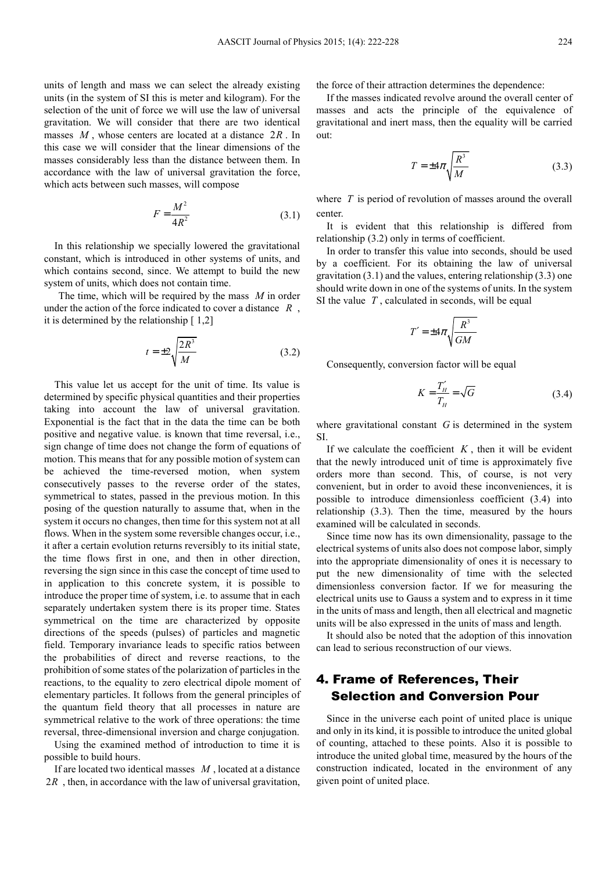units of length and mass we can select the already existing units (in the system of SI this is meter and kilogram). For the selection of the unit of force we will use the law of universal gravitation. We will consider that there are two identical masses *M* , whose centers are located at a distance 2*R* . In this case we will consider that the linear dimensions of the masses considerably less than the distance between them. In accordance with the law of universal gravitation the force, which acts between such masses, will compose

$$
F = \frac{M^2}{4R^2} \tag{3.1}
$$

In this relationship we specially lowered the gravitational constant, which is introduced in other systems of units, and which contains second, since. We attempt to build the new system of units, which does not contain time.

 The time, which will be required by the mass *M* in order under the action of the force indicated to cover a distance *R* , it is determined by the relationship [ 1,2]

$$
t = \pm 2\sqrt{\frac{2R^3}{M}}\tag{3.2}
$$

This value let us accept for the unit of time. Its value is determined by specific physical quantities and their properties taking into account the law of universal gravitation. Exponential is the fact that in the data the time can be both positive and negative value. is known that time reversal, i.e., sign change of time does not change the form of equations of motion. This means that for any possible motion of system can be achieved the time-reversed motion, when system consecutively passes to the reverse order of the states, symmetrical to states, passed in the previous motion. In this posing of the question naturally to assume that, when in the system it occurs no changes, then time for this system not at all flows. When in the system some reversible changes occur, i.e., it after a certain evolution returns reversibly to its initial state, the time flows first in one, and then in other direction, reversing the sign since in this case the concept of time used to in application to this concrete system, it is possible to introduce the proper time of system, i.e. to assume that in each separately undertaken system there is its proper time. States symmetrical on the time are characterized by opposite directions of the speeds (pulses) of particles and magnetic field. Temporary invariance leads to specific ratios between the probabilities of direct and reverse reactions, to the prohibition of some states of the polarization of particles in the reactions, to the equality to zero electrical dipole moment of elementary particles. It follows from the general principles of the quantum field theory that all processes in nature are symmetrical relative to the work of three operations: the time reversal, three-dimensional inversion and charge conjugation.

Using the examined method of introduction to time it is possible to build hours.

If are located two identical masses *M* , located at a distance 2*R*, then, in accordance with the law of universal gravitation, the force of their attraction determines the dependence:

If the masses indicated revolve around the overall center of masses and acts the principle of the equivalence of gravitational and inert mass, then the equality will be carried out:

$$
T = \pm 4\pi \sqrt{\frac{R^3}{M}}
$$
 (3.3)

where *T* is period of revolution of masses around the overall center.

It is evident that this relationship is differed from relationship (3.2) only in terms of coefficient.

In order to transfer this value into seconds, should be used by a coefficient. For its obtaining the law of universal gravitation (3.1) and the values, entering relationship (3.3) one should write down in one of the systems of units. In the system SI the value *T* , calculated in seconds, will be equal

$$
T' = \pm 4\pi \sqrt{\frac{R^3}{GM}}
$$

Consequently, conversion factor will be equal

$$
K = \frac{T_H'}{T_H} = \sqrt{G} \tag{3.4}
$$

where gravitational constant *G* is determined in the system SI.

If we calculate the coefficient  $K$ , then it will be evident that the newly introduced unit of time is approximately five orders more than second. This, of course, is not very convenient, but in order to avoid these inconveniences, it is possible to introduce dimensionless coefficient (3.4) into relationship (3.3). Then the time, measured by the hours examined will be calculated in seconds.

Since time now has its own dimensionality, passage to the electrical systems of units also does not compose labor, simply into the appropriate dimensionality of ones it is necessary to put the new dimensionality of time with the selected dimensionless conversion factor. If we for measuring the electrical units use to Gauss a system and to express in it time in the units of mass and length, then all electrical and magnetic units will be also expressed in the units of mass and length.

It should also be noted that the adoption of this innovation can lead to serious reconstruction of our views.

# 4. Frame of References, Their Selection and Conversion Pour

Since in the universe each point of united place is unique and only in its kind, it is possible to introduce the united global of counting, attached to these points. Also it is possible to introduce the united global time, measured by the hours of the construction indicated, located in the environment of any given point of united place.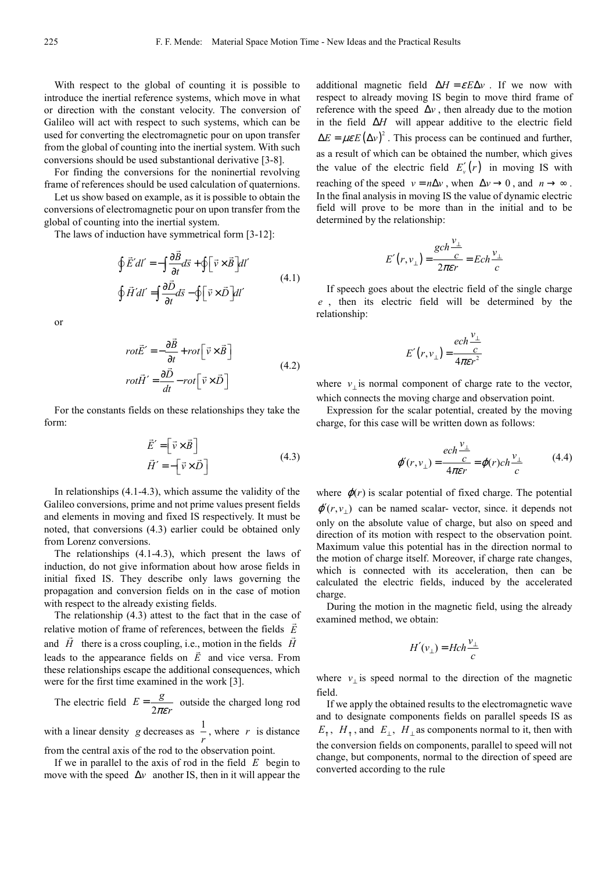With respect to the global of counting it is possible to introduce the inertial reference systems, which move in what or direction with the constant velocity. The conversion of Galileo will act with respect to such systems, which can be used for converting the electromagnetic pour on upon transfer from the global of counting into the inertial system. With such conversions should be used substantional derivative [3-8].

For finding the conversions for the noninertial revolving frame of references should be used calculation of quaternions.

Let us show based on example, as it is possible to obtain the conversions of electromagnetic pour on upon transfer from the global of counting into the inertial system.

The laws of induction have symmetrical form [3-12]:

$$
\oint \vec{E}' dl' = -\int \frac{\partial \vec{B}}{\partial t} d\vec{s} + \oint \left[ \vec{v} \times \vec{B} \right] dl'
$$
\n
$$
\oint \vec{H}' dl' = \int \frac{\partial \vec{D}}{\partial t} d\vec{s} - \oint \left[ \vec{v} \times \vec{D} \right] dl'
$$
\n(4.1)

or

$$
rot\vec{E}' = -\frac{\partial \vec{B}}{\partial t} + rot \left[\vec{v} \times \vec{B}\right]
$$
  

$$
rot\vec{H}' = \frac{\partial \vec{D}}{\partial t} - rot \left[\vec{v} \times \vec{D}\right]
$$
 (4.2)

For the constants fields on these relationships they take the form:

$$
\vec{E}' = \begin{bmatrix} \vec{v} \times \vec{B} \end{bmatrix}
$$
  
\n
$$
\vec{H}' = -\begin{bmatrix} \vec{v} \times \vec{D} \end{bmatrix}
$$
\n(4.3)

In relationships  $(4.1-4.3)$ , which assume the validity of the Galileo conversions, prime and not prime values present fields and elements in moving and fixed IS respectively. It must be noted, that conversions (4.3) earlier could be obtained only from Lorenz conversions.

The relationships (4.1-4.3), which present the laws of induction, do not give information about how arose fields in initial fixed IS. They describe only laws governing the propagation and conversion fields on in the case of motion with respect to the already existing fields.

The relationship  $(4.3)$  attest to the fact that in the case of relative motion of frame of references, between the fields *E* and *H* there is a cross coupling, i.e., motion in the fields *H* leads to the appearance fields on *E* and vice versa. From these relationships escape the additional consequences, which were for the first time examined in the work [3].

The electric field  $E = \frac{1}{2}$  $E = \frac{g}{2\pi\epsilon r}$  outside the charged long rod

with a linear density *g* decreases as  $\frac{1}{r}$ , where *r* is distance

from the central axis of the rod to the observation point.

If we in parallel to the axis of rod in the field *E* begin to move with the speed ∆*v* another IS, then in it will appear the additional magnetic field  $\Delta H = \varepsilon E \Delta v$ . If we now with respect to already moving IS begin to move third frame of reference with the speed  $\Delta v$ , then already due to the motion in the field ∆*H* will appear additive to the electric field  $\Delta E = \mu \varepsilon E (\Delta v)^2$ . This process can be continued and further, as a result of which can be obtained the number, which gives the value of the electric field  $E'_v(r)$  in moving IS with reaching of the speed  $v = n\Delta v$ , when  $\Delta v \rightarrow 0$ , and  $n \rightarrow \infty$ . In the final analysis in moving IS the value of dynamic electric field will prove to be more than in the initial and to be determined by the relationship:

$$
E'(r, v_{\perp}) = \frac{\operatorname{gch} \frac{v_{\perp}}{c}}{2\pi\epsilon r} = \operatorname{Ech} \frac{v_{\perp}}{c}
$$

If speech goes about the electric field of the single charge *e* , then its electric field will be determined by the relationship:

$$
E'(r, v_{\perp}) = \frac{ech \frac{v_{\perp}}{c}}{4\pi \varepsilon r^2}
$$

where  $v_{\perp}$  is normal component of charge rate to the vector, which connects the moving charge and observation point.

Expression for the scalar potential, created by the moving charge, for this case will be written down as follows:

$$
\varphi'(r, v_{\perp}) = \frac{ech \frac{v_{\perp}}{c}}{4\pi \varepsilon r} = \varphi(r) ch \frac{v_{\perp}}{c}
$$
 (4.4)

where  $\varphi(r)$  is scalar potential of fixed charge. The potential  $\varphi'(r, v_+)$  can be named scalar-vector, since. it depends not only on the absolute value of charge, but also on speed and direction of its motion with respect to the observation point. Maximum value this potential has in the direction normal to the motion of charge itself. Moreover, if charge rate changes, which is connected with its acceleration, then can be calculated the electric fields, induced by the accelerated charge.

During the motion in the magnetic field, using the already examined method, we obtain:

$$
H'(v_{\perp}) = Hch \frac{v_{\perp}}{c}
$$

where  $v_{\perp}$  is speed normal to the direction of the magnetic field.

If we apply the obtained results to the electromagnetic wave and to designate components fields on parallel speeds IS as  $E_{\uparrow}$ ,  $H_{\uparrow}$ , and  $E_{\perp}$ ,  $H_{\perp}$  as components normal to it, then with the conversion fields on components, parallel to speed will not change, but components, normal to the direction of speed are converted according to the rule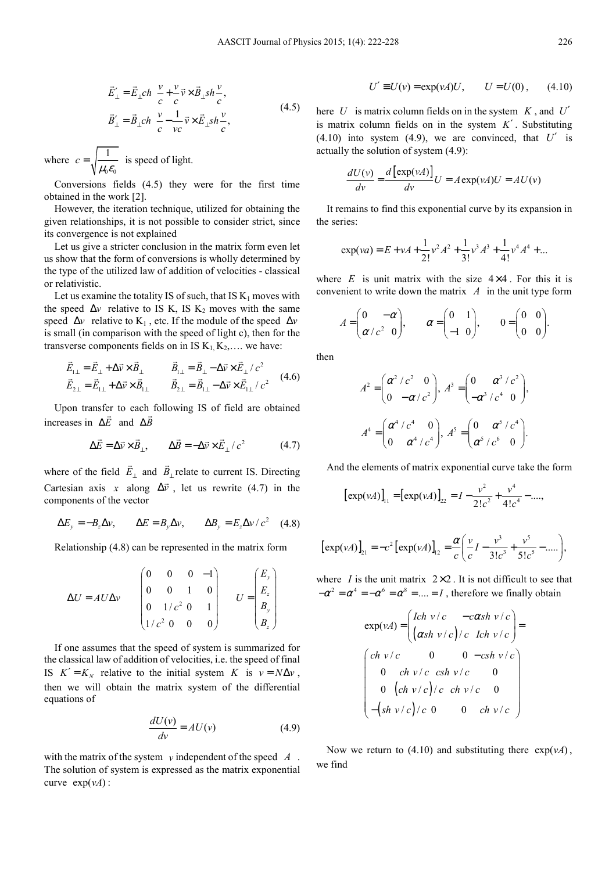$$
\vec{E}_{\perp}^{\prime} = \vec{E}_{\perp} ch \frac{v}{c} + \frac{v}{c} \vec{v} \times \vec{B}_{\perp} sh \frac{v}{c},
$$
\n
$$
\vec{B}_{\perp}^{\prime} = \vec{B}_{\perp} ch \frac{v}{c} - \frac{1}{vc} \vec{v} \times \vec{E}_{\perp} sh \frac{v}{c},
$$
\n(4.5)

where  $0 - 0$  $c = \sqrt{\frac{1}{\mu_0 \varepsilon_0}}$  is speed of light.

Conversions fields (4.5) they were for the first time obtained in the work [2].

However, the iteration technique, utilized for obtaining the given relationships, it is not possible to consider strict, since its convergence is not explained

Let us give a stricter conclusion in the matrix form even let us show that the form of conversions is wholly determined by the type of the utilized law of addition of velocities - classical or relativistic.

Let us examine the totality IS of such, that IS  $K_1$  moves with the speed  $\Delta v$  relative to IS K, IS K<sub>2</sub> moves with the same speed  $\Delta v$  relative to K<sub>1</sub>, etc. If the module of the speed  $\Delta v$ is small (in comparison with the speed of light c), then for the transverse components fields on in IS  $K_1, K_2, \ldots$  we have:

$$
\vec{E}_{1\perp} = \vec{E}_{\perp} + \Delta \vec{v} \times \vec{B}_{\perp} \qquad \vec{B}_{1\perp} = \vec{B}_{\perp} - \Delta \vec{v} \times \vec{E}_{\perp} / c^2 \n\vec{E}_{2\perp} = \vec{E}_{1\perp} + \Delta \vec{v} \times \vec{B}_{1\perp} \qquad \vec{B}_{2\perp} = \vec{B}_{1\perp} - \Delta \vec{v} \times \vec{E}_{1\perp} / c^2 \qquad (4.6)
$$

Upon transfer to each following IS of field are obtained increases in ∆*E* and ∆*B*

$$
\Delta \vec{E} = \Delta \vec{v} \times \vec{B}_{\perp}, \qquad \Delta \vec{B} = -\Delta \vec{v} \times \vec{E}_{\perp} / c^2 \tag{4.7}
$$

where of the field *E*<sup>⊥</sup>  $\overline{a}$ and  $B_{\perp}$  $\overline{a}$ relate to current IS. Directing Cartesian axis *x* along  $\Delta \vec{v}$ , let us rewrite (4.7) in the components of the vector

$$
\Delta E_y = -B_z \Delta v, \qquad \Delta E = B_y \Delta v, \qquad \Delta B_y = E_z \Delta v / c^2 \quad (4.8)
$$

Relationship (4.8) can be represented in the matrix form

$$
\Delta U = A U \Delta v \qquad \begin{pmatrix} 0 & 0 & 0 & -1 \\ 0 & 0 & 1 & 0 \\ 0 & 1/c^2 & 0 & 1 \\ 1/c^2 & 0 & 0 & 0 \end{pmatrix} \qquad U = \begin{pmatrix} E_y \\ E_z \\ B_y \\ B_z \end{pmatrix}
$$

If one assumes that the speed of system is summarized for the classical law of addition of velocities, i.e. the speed of final IS  $K' = K_N$  relative to the initial system *K* is  $v = N \Delta v$ , then we will obtain the matrix system of the differential equations of

$$
\frac{dU(v)}{dv} = AU(v) \tag{4.9}
$$

with the matrix of the system *v* independent of the speed *A* . The solution of system is expressed as the matrix exponential curve  $exp(vA)$ :

$$
U' \equiv U(v) = \exp(vA)U
$$
,  $U = U(0)$ , (4.10)

here *U* is matrix column fields on in the system *K* , and *U*′ is matrix column fields on in the system *K*′ . Substituting  $(4.10)$  into system  $(4.9)$ , we are convinced, that  $U'$  is actually the solution of system (4.9):

$$
\frac{dU(v)}{dv} = \frac{d\left[\exp(vA)\right]}{dv}U = A\exp(vA)U = AU(v)
$$

It remains to find this exponential curve by its expansion in the series:

$$
\exp(va) = E + vA + \frac{1}{2!}v^2A^2 + \frac{1}{3!}v^3A^3 + \frac{1}{4!}v^4A^4 + \dots
$$

where  $E$  is unit matrix with the size  $4 \times 4$ . For this it is convenient to write down the matrix *A* in the unit type form

$$
A = \begin{pmatrix} 0 & -\alpha \\ \alpha/c^2 & 0 \end{pmatrix}, \qquad \alpha = \begin{pmatrix} 0 & 1 \\ -1 & 0 \end{pmatrix}, \qquad 0 = \begin{pmatrix} 0 & 0 \\ 0 & 0 \end{pmatrix}.
$$

then

$$
A^{2} = \begin{pmatrix} \alpha^{2} / c^{2} & 0 \\ 0 & -\alpha / c^{2} \end{pmatrix}, A^{3} = \begin{pmatrix} 0 & \alpha^{3} / c^{2} \\ -\alpha^{3} / c^{4} & 0 \end{pmatrix},
$$

$$
A^{4} = \begin{pmatrix} \alpha^{4} / c^{4} & 0 \\ 0 & \alpha^{4} / c^{4} \end{pmatrix}, A^{5} = \begin{pmatrix} 0 & \alpha^{5} / c^{4} \\ \alpha^{5} / c^{6} & 0 \end{pmatrix}.
$$

And the elements of matrix exponential curve take the form

$$
[\exp(\nu A)]_{11} = [\exp(\nu A)]_{22} = I - \frac{\nu^2}{2!c^2} + \frac{\nu^4}{4!c^4} - \dots,
$$

$$
[\exp(\nu A)]_{21} = -c^2 [\exp(\nu A)]_{12} = \frac{\alpha}{c} \left( \frac{\nu}{c} I - \frac{\nu^3}{3! c^3} + \frac{\nu^5}{5! c^5} - \dots \right),
$$

where *I* is the unit matrix  $2 \times 2$ . It is not difficult to see that  $-\alpha^2 = \alpha^4 = -\alpha^6 = \alpha^8 = \dots = I$ , therefore we finally obtain

$$
\exp(\nu A) = \begin{pmatrix} Ich \ v/c & -c\alpha sh \ v/c \\ (\alpha sh \ v/c)/c & Ich \ v/c \end{pmatrix} =
$$
  

$$
\begin{pmatrix} ch \ v/c & 0 & 0 & -csh \ v/c \\ 0 & ch \ v/c & csh \ v/c & 0 \\ 0 & (ch \ v/c)/c & ch \ v/c & 0 \\ -(sh \ v/c)/c & 0 & 0 & ch \ v/c \end{pmatrix}
$$

Now we return to  $(4.10)$  and substituting there  $exp(vA)$ , we find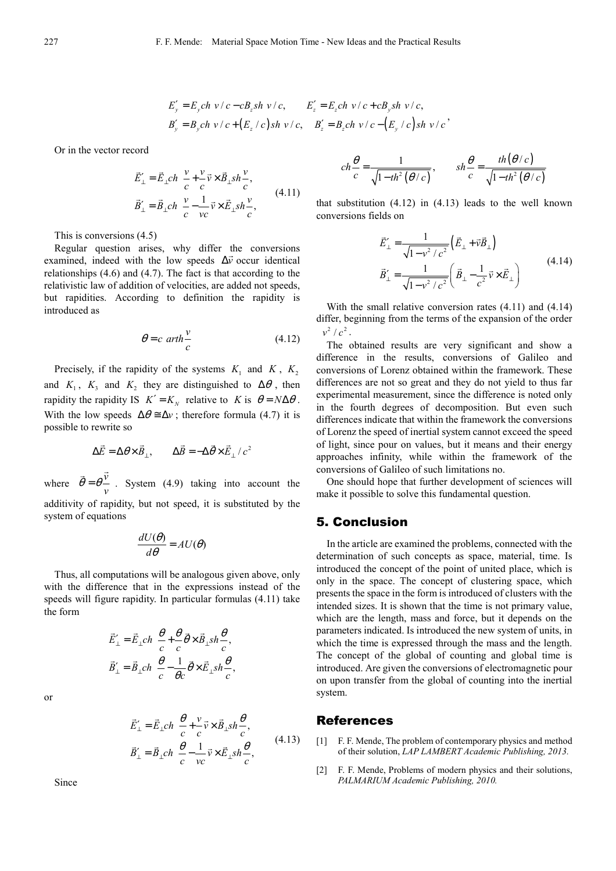$$
E'_{y} = E_{y}ch \ v/c - cB_{z}sh \ v/c, \qquad E'_{z} = E_{z}ch \ v/c + cB_{y}sh \ v/c,
$$
  
\n
$$
B'_{y} = B_{y}ch \ v/c + (E_{z}/c)sh \ v/c, \qquad B'_{z} = B_{z}ch \ v/c - (E_{y}/c)sh \ v/c
$$

Or in the vector record

$$
\vec{E}'_{\perp} = \vec{E}_{\perp} ch \frac{v}{c} + \frac{v}{c} \vec{v} \times \vec{B}_{\perp} sh \frac{v}{c},
$$
\n
$$
\vec{B}'_{\perp} = \vec{B}_{\perp} ch \frac{v}{c} - \frac{1}{vc} \vec{v} \times \vec{E}_{\perp} sh \frac{v}{c},
$$
\n(4.11)

This is conversions (4.5)

Regular question arises, why differ the conversions examined, indeed with the low speeds  $\Delta \vec{v}$  occur identical relationships (4.6) and (4.7). The fact is that according to the relativistic law of addition of velocities, are added not speeds, but rapidities. According to definition the rapidity is introduced as

$$
\theta = c \ arth \frac{v}{c} \tag{4.12}
$$

Precisely, if the rapidity of the systems  $K_1$  and  $K$ ,  $K_2$ and  $K_1$ ,  $K_3$  and  $K_2$  they are distinguished to  $\Delta\theta$ , then rapidity the rapidity IS  $K' = K_N$  relative to *K* is  $\theta = N \Delta \theta$ . With the low speeds  $\Delta \theta \approx \Delta v$ ; therefore formula (4.7) it is possible to rewrite so

$$
\Delta \vec{E} = \Delta \theta \times \vec{B}_{\perp}, \qquad \Delta \vec{B} = -\Delta \vec{\theta} \times \vec{E}_{\perp} / c^2
$$

where  $\vec{\theta} = \theta \frac{\vec{v}}{v}$  $\overline{v}$ . System (4.9) taking into account the additivity of rapidity, but not speed, it is substituted by the system of equations

$$
\frac{dU(\theta)}{d\theta} = AU(\theta)
$$

Thus, all computations will be analogous given above, only with the difference that in the expressions instead of the speeds will figure rapidity. In particular formulas (4.11) take the form

$$
\vec{E}'_{\perp} = \vec{E}_{\perp} ch \frac{\theta}{c} + \frac{\theta}{c} \vec{\theta} \times \vec{B}_{\perp} sh \frac{\theta}{c},
$$

$$
\vec{B}'_{\perp} = \vec{B}_{\perp} ch \frac{\theta}{c} - \frac{1}{\theta c} \vec{\theta} \times \vec{E}_{\perp} sh \frac{\theta}{c},
$$

or

$$
\vec{E}'_{\perp} = \vec{E}_{\perp} ch \frac{\theta}{c} + \frac{v}{c} \vec{v} \times \vec{B}_{\perp} sh \frac{\theta}{c},
$$
\n
$$
\vec{B}'_{\perp} = \vec{B}_{\perp} ch \frac{\theta}{c} - \frac{1}{vc} \vec{v} \times \vec{E}_{\perp} sh \frac{\theta}{c},
$$
\n(4.13)

Since

$$
ch\frac{\theta}{c} = \frac{1}{\sqrt{1 - th^2(\theta/c)}}, \qquad sh\frac{\theta}{c} = \frac{th(\theta/c)}{\sqrt{1 - th^2(\theta/c)}}
$$

that substitution  $(4.12)$  in  $(4.13)$  leads to the well known conversions fields on

$$
\vec{E}_{\perp}^{\prime} = \frac{1}{\sqrt{1 - v^2/c^2}} \left( \vec{E}_{\perp} + \vec{v} \vec{B}_{\perp} \right)
$$
\n
$$
\vec{B}_{\perp}^{\prime} = \frac{1}{\sqrt{1 - v^2/c^2}} \left( \vec{B}_{\perp} - \frac{1}{c^2} \vec{v} \times \vec{E}_{\perp} \right)
$$
\n(4.14)

With the small relative conversion rates (4.11) and (4.14) differ, beginning from the terms of the expansion of the order  $v^2/c^2$ .

The obtained results are very significant and show a difference in the results, conversions of Galileo and conversions of Lorenz obtained within the framework. These differences are not so great and they do not yield to thus far experimental measurement, since the difference is noted only in the fourth degrees of decomposition. But even such differences indicate that within the framework the conversions of Lorenz the speed of inertial system cannot exceed the speed of light, since pour on values, but it means and their energy approaches infinity, while within the framework of the conversions of Galileo of such limitations no.

One should hope that further development of sciences will make it possible to solve this fundamental question.

#### 5. Conclusion

In the article are examined the problems, connected with the determination of such concepts as space, material, time. Is introduced the concept of the point of united place, which is only in the space. The concept of clustering space, which presents the space in the form is introduced of clusters with the intended sizes. It is shown that the time is not primary value, which are the length, mass and force, but it depends on the parameters indicated. Is introduced the new system of units, in which the time is expressed through the mass and the length. The concept of the global of counting and global time is introduced. Are given the conversions of electromagnetic pour on upon transfer from the global of counting into the inertial system.

#### References

- [1] F. F. Mende, The problem of contemporary physics and method of their solution, *LAP LAMBERT Academic Publishing, 2013.*
- [2] F. F. Mende, Problems of modern physics and their solutions, *PALMARIUM Academic Publishing, 2010.*